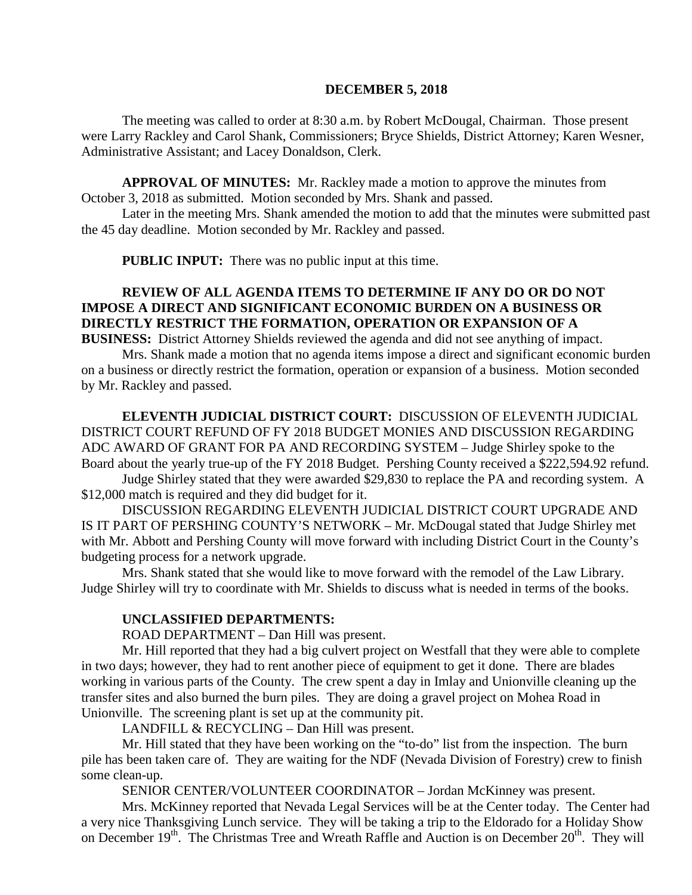#### **DECEMBER 5, 2018**

The meeting was called to order at 8:30 a.m. by Robert McDougal, Chairman. Those present were Larry Rackley and Carol Shank, Commissioners; Bryce Shields, District Attorney; Karen Wesner, Administrative Assistant; and Lacey Donaldson, Clerk.

**APPROVAL OF MINUTES:** Mr. Rackley made a motion to approve the minutes from October 3, 2018 as submitted. Motion seconded by Mrs. Shank and passed.

Later in the meeting Mrs. Shank amended the motion to add that the minutes were submitted past the 45 day deadline. Motion seconded by Mr. Rackley and passed.

 **PUBLIC INPUT:** There was no public input at this time.

## **REVIEW OF ALL AGENDA ITEMS TO DETERMINE IF ANY DO OR DO NOT IMPOSE A DIRECT AND SIGNIFICANT ECONOMIC BURDEN ON A BUSINESS OR DIRECTLY RESTRICT THE FORMATION, OPERATION OR EXPANSION OF A BUSINESS:** District Attorney Shields reviewed the agenda and did not see anything of impact.

Mrs. Shank made a motion that no agenda items impose a direct and significant economic burden on a business or directly restrict the formation, operation or expansion of a business. Motion seconded by Mr. Rackley and passed.

**ELEVENTH JUDICIAL DISTRICT COURT:** DISCUSSION OF ELEVENTH JUDICIAL DISTRICT COURT REFUND OF FY 2018 BUDGET MONIES AND DISCUSSION REGARDING ADC AWARD OF GRANT FOR PA AND RECORDING SYSTEM – Judge Shirley spoke to the Board about the yearly true-up of the FY 2018 Budget. Pershing County received a \$222,594.92 refund. Judge Shirley stated that they were awarded \$29,830 to replace the PA and recording system. A \$12,000 match is required and they did budget for it.

DISCUSSION REGARDING ELEVENTH JUDICIAL DISTRICT COURT UPGRADE AND IS IT PART OF PERSHING COUNTY'S NETWORK – Mr. McDougal stated that Judge Shirley met with Mr. Abbott and Pershing County will move forward with including District Court in the County's budgeting process for a network upgrade.

Mrs. Shank stated that she would like to move forward with the remodel of the Law Library. Judge Shirley will try to coordinate with Mr. Shields to discuss what is needed in terms of the books.

#### **UNCLASSIFIED DEPARTMENTS:**

ROAD DEPARTMENT – Dan Hill was present.

Mr. Hill reported that they had a big culvert project on Westfall that they were able to complete in two days; however, they had to rent another piece of equipment to get it done. There are blades working in various parts of the County. The crew spent a day in Imlay and Unionville cleaning up the transfer sites and also burned the burn piles. They are doing a gravel project on Mohea Road in Unionville. The screening plant is set up at the community pit.

LANDFILL & RECYCLING – Dan Hill was present.

Mr. Hill stated that they have been working on the "to-do" list from the inspection. The burn pile has been taken care of. They are waiting for the NDF (Nevada Division of Forestry) crew to finish some clean-up.

SENIOR CENTER/VOLUNTEER COORDINATOR – Jordan McKinney was present.

Mrs. McKinney reported that Nevada Legal Services will be at the Center today. The Center had a very nice Thanksgiving Lunch service. They will be taking a trip to the Eldorado for a Holiday Show on December  $19<sup>th</sup>$ . The Christmas Tree and Wreath Raffle and Auction is on December  $20<sup>th</sup>$ . They will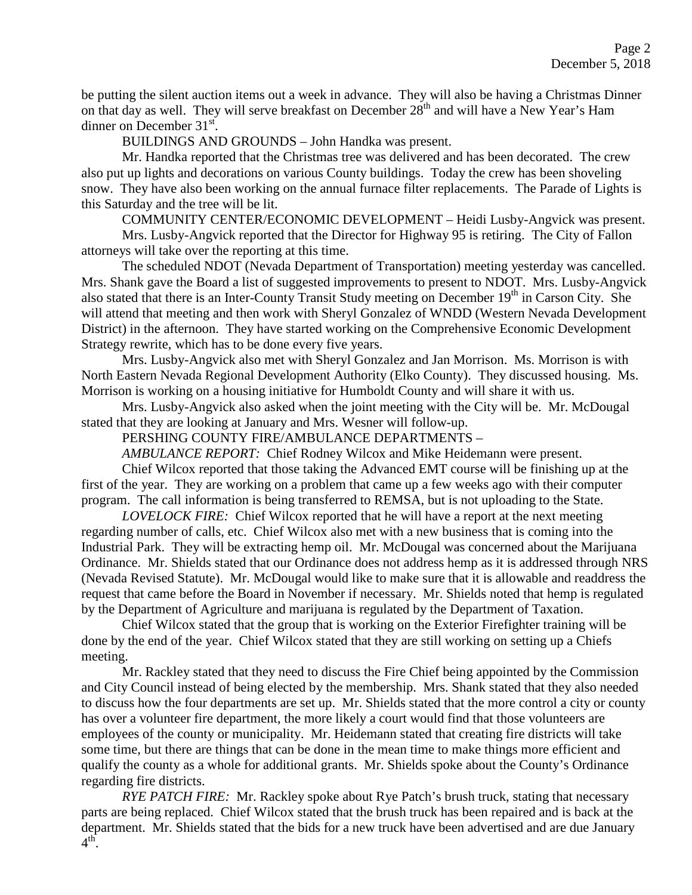be putting the silent auction items out a week in advance. They will also be having a Christmas Dinner on that day as well. They will serve breakfast on December  $28<sup>th</sup>$  and will have a New Year's Ham dinner on December  $31<sup>st</sup>$ .

BUILDINGS AND GROUNDS – John Handka was present.

Mr. Handka reported that the Christmas tree was delivered and has been decorated. The crew also put up lights and decorations on various County buildings. Today the crew has been shoveling snow. They have also been working on the annual furnace filter replacements. The Parade of Lights is this Saturday and the tree will be lit.

COMMUNITY CENTER/ECONOMIC DEVELOPMENT – Heidi Lusby-Angvick was present.

Mrs. Lusby-Angvick reported that the Director for Highway 95 is retiring. The City of Fallon attorneys will take over the reporting at this time.

The scheduled NDOT (Nevada Department of Transportation) meeting yesterday was cancelled. Mrs. Shank gave the Board a list of suggested improvements to present to NDOT. Mrs. Lusby-Angvick also stated that there is an Inter-County Transit Study meeting on December  $19<sup>th</sup>$  in Carson City. She will attend that meeting and then work with Sheryl Gonzalez of WNDD (Western Nevada Development District) in the afternoon. They have started working on the Comprehensive Economic Development Strategy rewrite, which has to be done every five years.

Mrs. Lusby-Angvick also met with Sheryl Gonzalez and Jan Morrison. Ms. Morrison is with North Eastern Nevada Regional Development Authority (Elko County). They discussed housing. Ms. Morrison is working on a housing initiative for Humboldt County and will share it with us.

Mrs. Lusby-Angvick also asked when the joint meeting with the City will be. Mr. McDougal stated that they are looking at January and Mrs. Wesner will follow-up.

PERSHING COUNTY FIRE/AMBULANCE DEPARTMENTS –

*AMBULANCE REPORT:* Chief Rodney Wilcox and Mike Heidemann were present.

Chief Wilcox reported that those taking the Advanced EMT course will be finishing up at the first of the year. They are working on a problem that came up a few weeks ago with their computer program. The call information is being transferred to REMSA, but is not uploading to the State.

*LOVELOCK FIRE:* Chief Wilcox reported that he will have a report at the next meeting regarding number of calls, etc. Chief Wilcox also met with a new business that is coming into the Industrial Park. They will be extracting hemp oil. Mr. McDougal was concerned about the Marijuana Ordinance. Mr. Shields stated that our Ordinance does not address hemp as it is addressed through NRS (Nevada Revised Statute). Mr. McDougal would like to make sure that it is allowable and readdress the request that came before the Board in November if necessary. Mr. Shields noted that hemp is regulated by the Department of Agriculture and marijuana is regulated by the Department of Taxation.

Chief Wilcox stated that the group that is working on the Exterior Firefighter training will be done by the end of the year. Chief Wilcox stated that they are still working on setting up a Chiefs meeting.

Mr. Rackley stated that they need to discuss the Fire Chief being appointed by the Commission and City Council instead of being elected by the membership. Mrs. Shank stated that they also needed to discuss how the four departments are set up. Mr. Shields stated that the more control a city or county has over a volunteer fire department, the more likely a court would find that those volunteers are employees of the county or municipality. Mr. Heidemann stated that creating fire districts will take some time, but there are things that can be done in the mean time to make things more efficient and qualify the county as a whole for additional grants. Mr. Shields spoke about the County's Ordinance regarding fire districts.

*RYE PATCH FIRE:* Mr. Rackley spoke about Rye Patch's brush truck, stating that necessary parts are being replaced. Chief Wilcox stated that the brush truck has been repaired and is back at the department. Mr. Shields stated that the bids for a new truck have been advertised and are due January  $4^{\overline{\text{th}}}$ .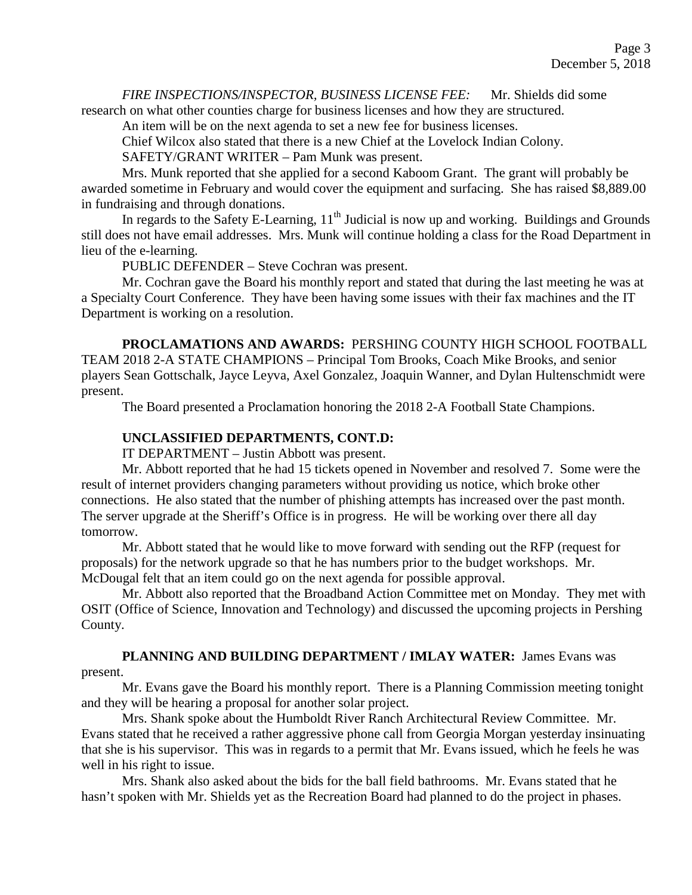*FIRE INSPECTIONS/INSPECTOR, BUSINESS LICENSE FEE:* Mr. Shields did some

research on what other counties charge for business licenses and how they are structured.

An item will be on the next agenda to set a new fee for business licenses.

Chief Wilcox also stated that there is a new Chief at the Lovelock Indian Colony.

SAFETY/GRANT WRITER – Pam Munk was present.

Mrs. Munk reported that she applied for a second Kaboom Grant. The grant will probably be awarded sometime in February and would cover the equipment and surfacing. She has raised \$8,889.00 in fundraising and through donations.

In regards to the Safety E-Learning,  $11<sup>th</sup>$  Judicial is now up and working. Buildings and Grounds still does not have email addresses. Mrs. Munk will continue holding a class for the Road Department in lieu of the e-learning.

PUBLIC DEFENDER – Steve Cochran was present.

Mr. Cochran gave the Board his monthly report and stated that during the last meeting he was at a Specialty Court Conference. They have been having some issues with their fax machines and the IT Department is working on a resolution.

**PROCLAMATIONS AND AWARDS:** PERSHING COUNTY HIGH SCHOOL FOOTBALL TEAM 2018 2-A STATE CHAMPIONS – Principal Tom Brooks, Coach Mike Brooks, and senior players Sean Gottschalk, Jayce Leyva, Axel Gonzalez, Joaquin Wanner, and Dylan Hultenschmidt were present.

The Board presented a Proclamation honoring the 2018 2-A Football State Champions.

# **UNCLASSIFIED DEPARTMENTS, CONT.D:**

IT DEPARTMENT – Justin Abbott was present.

Mr. Abbott reported that he had 15 tickets opened in November and resolved 7. Some were the result of internet providers changing parameters without providing us notice, which broke other connections. He also stated that the number of phishing attempts has increased over the past month. The server upgrade at the Sheriff's Office is in progress. He will be working over there all day tomorrow.

Mr. Abbott stated that he would like to move forward with sending out the RFP (request for proposals) for the network upgrade so that he has numbers prior to the budget workshops. Mr. McDougal felt that an item could go on the next agenda for possible approval.

Mr. Abbott also reported that the Broadband Action Committee met on Monday. They met with OSIT (Office of Science, Innovation and Technology) and discussed the upcoming projects in Pershing County.

# **PLANNING AND BUILDING DEPARTMENT / IMLAY WATER:** James Evans was

present.

Mr. Evans gave the Board his monthly report. There is a Planning Commission meeting tonight and they will be hearing a proposal for another solar project.

Mrs. Shank spoke about the Humboldt River Ranch Architectural Review Committee. Mr. Evans stated that he received a rather aggressive phone call from Georgia Morgan yesterday insinuating that she is his supervisor. This was in regards to a permit that Mr. Evans issued, which he feels he was well in his right to issue.

Mrs. Shank also asked about the bids for the ball field bathrooms. Mr. Evans stated that he hasn't spoken with Mr. Shields yet as the Recreation Board had planned to do the project in phases.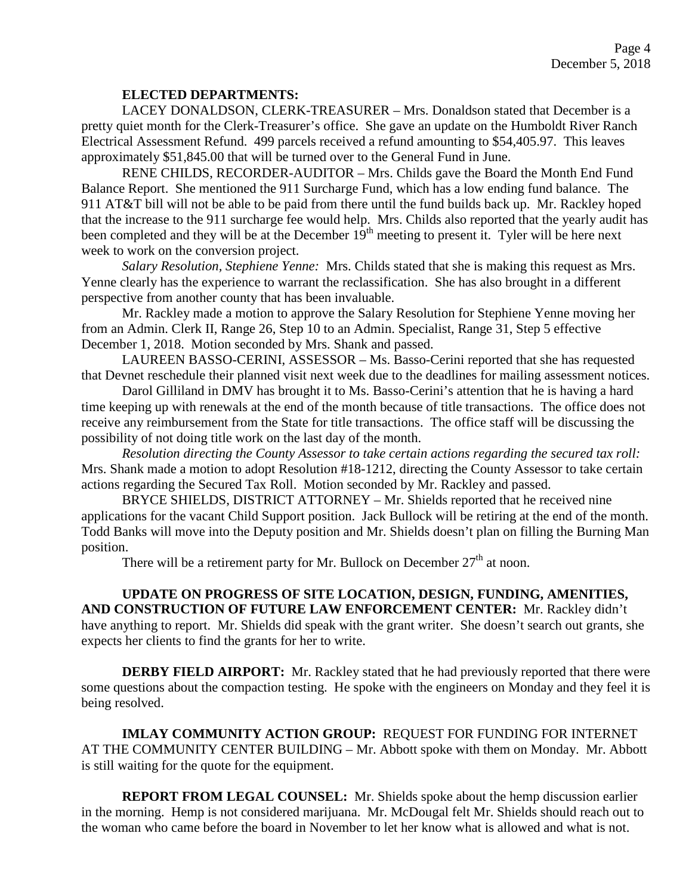## **ELECTED DEPARTMENTS:**

LACEY DONALDSON, CLERK-TREASURER – Mrs. Donaldson stated that December is a pretty quiet month for the Clerk-Treasurer's office. She gave an update on the Humboldt River Ranch Electrical Assessment Refund. 499 parcels received a refund amounting to \$54,405.97. This leaves approximately \$51,845.00 that will be turned over to the General Fund in June.

RENE CHILDS, RECORDER-AUDITOR – Mrs. Childs gave the Board the Month End Fund Balance Report. She mentioned the 911 Surcharge Fund, which has a low ending fund balance. The 911 AT&T bill will not be able to be paid from there until the fund builds back up. Mr. Rackley hoped that the increase to the 911 surcharge fee would help. Mrs. Childs also reported that the yearly audit has been completed and they will be at the December  $19<sup>th</sup>$  meeting to present it. Tyler will be here next week to work on the conversion project.

*Salary Resolution, Stephiene Yenne:* Mrs. Childs stated that she is making this request as Mrs. Yenne clearly has the experience to warrant the reclassification. She has also brought in a different perspective from another county that has been invaluable.

Mr. Rackley made a motion to approve the Salary Resolution for Stephiene Yenne moving her from an Admin. Clerk II, Range 26, Step 10 to an Admin. Specialist, Range 31, Step 5 effective December 1, 2018. Motion seconded by Mrs. Shank and passed.

LAUREEN BASSO-CERINI, ASSESSOR – Ms. Basso-Cerini reported that she has requested that Devnet reschedule their planned visit next week due to the deadlines for mailing assessment notices.

Darol Gilliland in DMV has brought it to Ms. Basso-Cerini's attention that he is having a hard time keeping up with renewals at the end of the month because of title transactions. The office does not receive any reimbursement from the State for title transactions. The office staff will be discussing the possibility of not doing title work on the last day of the month.

*Resolution directing the County Assessor to take certain actions regarding the secured tax roll:*  Mrs. Shank made a motion to adopt Resolution #18-1212, directing the County Assessor to take certain actions regarding the Secured Tax Roll. Motion seconded by Mr. Rackley and passed.

BRYCE SHIELDS, DISTRICT ATTORNEY – Mr. Shields reported that he received nine applications for the vacant Child Support position. Jack Bullock will be retiring at the end of the month. Todd Banks will move into the Deputy position and Mr. Shields doesn't plan on filling the Burning Man position.

There will be a retirement party for Mr. Bullock on December  $27<sup>th</sup>$  at noon.

**UPDATE ON PROGRESS OF SITE LOCATION, DESIGN, FUNDING, AMENITIES, AND CONSTRUCTION OF FUTURE LAW ENFORCEMENT CENTER:** Mr. Rackley didn't have anything to report. Mr. Shields did speak with the grant writer. She doesn't search out grants, she expects her clients to find the grants for her to write.

**DERBY FIELD AIRPORT:** Mr. Rackley stated that he had previously reported that there were some questions about the compaction testing. He spoke with the engineers on Monday and they feel it is being resolved.

**IMLAY COMMUNITY ACTION GROUP:** REQUEST FOR FUNDING FOR INTERNET AT THE COMMUNITY CENTER BUILDING – Mr. Abbott spoke with them on Monday. Mr. Abbott is still waiting for the quote for the equipment.

**REPORT FROM LEGAL COUNSEL:** Mr. Shields spoke about the hemp discussion earlier in the morning. Hemp is not considered marijuana. Mr. McDougal felt Mr. Shields should reach out to the woman who came before the board in November to let her know what is allowed and what is not.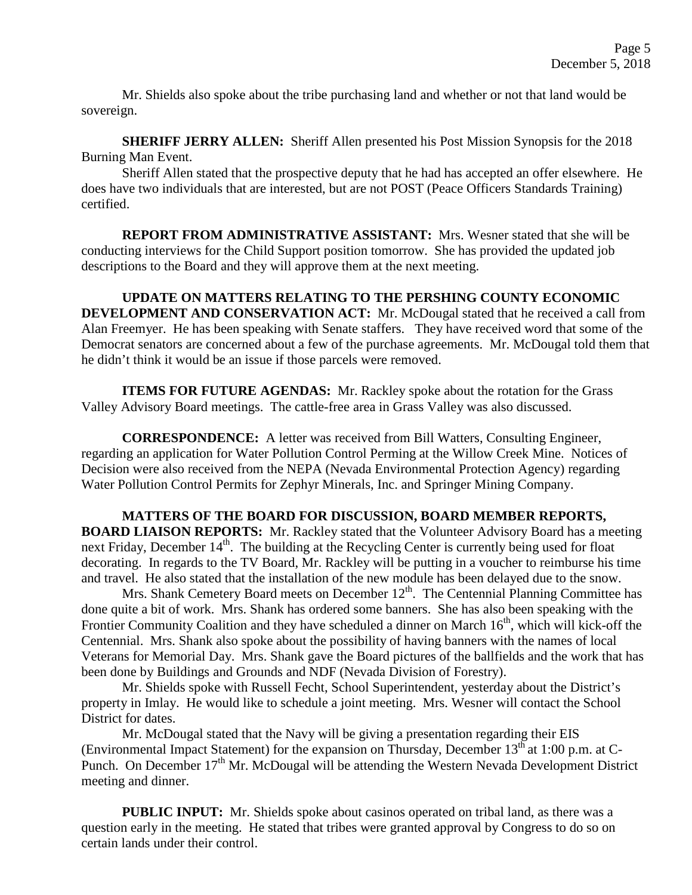Mr. Shields also spoke about the tribe purchasing land and whether or not that land would be sovereign.

**SHERIFF JERRY ALLEN:** Sheriff Allen presented his Post Mission Synopsis for the 2018 Burning Man Event.

Sheriff Allen stated that the prospective deputy that he had has accepted an offer elsewhere. He does have two individuals that are interested, but are not POST (Peace Officers Standards Training) certified.

**REPORT FROM ADMINISTRATIVE ASSISTANT:** Mrs. Wesner stated that she will be conducting interviews for the Child Support position tomorrow. She has provided the updated job descriptions to the Board and they will approve them at the next meeting.

**UPDATE ON MATTERS RELATING TO THE PERSHING COUNTY ECONOMIC DEVELOPMENT AND CONSERVATION ACT:** Mr. McDougal stated that he received a call from Alan Freemyer. He has been speaking with Senate staffers. They have received word that some of the Democrat senators are concerned about a few of the purchase agreements. Mr. McDougal told them that he didn't think it would be an issue if those parcels were removed.

**ITEMS FOR FUTURE AGENDAS:** Mr. Rackley spoke about the rotation for the Grass Valley Advisory Board meetings. The cattle-free area in Grass Valley was also discussed.

**CORRESPONDENCE:** A letter was received from Bill Watters, Consulting Engineer, regarding an application for Water Pollution Control Perming at the Willow Creek Mine. Notices of Decision were also received from the NEPA (Nevada Environmental Protection Agency) regarding Water Pollution Control Permits for Zephyr Minerals, Inc. and Springer Mining Company.

**MATTERS OF THE BOARD FOR DISCUSSION, BOARD MEMBER REPORTS, BOARD LIAISON REPORTS:** Mr. Rackley stated that the Volunteer Advisory Board has a meeting next Friday, December 14<sup>th</sup>. The building at the Recycling Center is currently being used for float decorating. In regards to the TV Board, Mr. Rackley will be putting in a voucher to reimburse his time

and travel. He also stated that the installation of the new module has been delayed due to the snow. Mrs. Shank Cemetery Board meets on December  $12<sup>th</sup>$ . The Centennial Planning Committee has done quite a bit of work. Mrs. Shank has ordered some banners. She has also been speaking with the Frontier Community Coalition and they have scheduled a dinner on March 16<sup>th</sup>, which will kick-off the Centennial. Mrs. Shank also spoke about the possibility of having banners with the names of local Veterans for Memorial Day. Mrs. Shank gave the Board pictures of the ballfields and the work that has been done by Buildings and Grounds and NDF (Nevada Division of Forestry).

Mr. Shields spoke with Russell Fecht, School Superintendent, yesterday about the District's property in Imlay. He would like to schedule a joint meeting. Mrs. Wesner will contact the School District for dates.

Mr. McDougal stated that the Navy will be giving a presentation regarding their EIS (Environmental Impact Statement) for the expansion on Thursday, December  $13<sup>th</sup>$  at 1:00 p.m. at C-Punch. On December  $17<sup>th</sup>$  Mr. McDougal will be attending the Western Nevada Development District meeting and dinner.

**PUBLIC INPUT:** Mr. Shields spoke about casinos operated on tribal land, as there was a question early in the meeting. He stated that tribes were granted approval by Congress to do so on certain lands under their control.